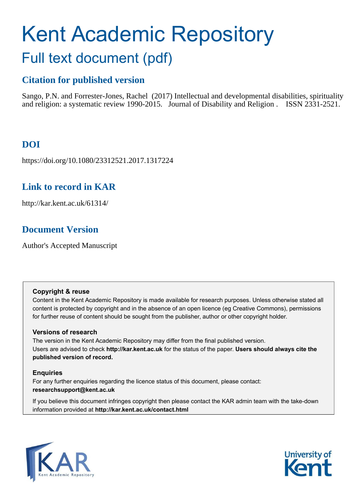# Kent Academic Repository Full text document (pdf)

# **Citation for published version**

Sango, P.N. and Forrester-Jones, Rachel (2017) Intellectual and developmental disabilities, spirituality and religion: a systematic review 1990-2015. Journal of Disability and Religion . ISSN 2331-2521.

# **DOI**

https://doi.org/10.1080/23312521.2017.1317224

# **Link to record in KAR**

http://kar.kent.ac.uk/61314/

# **Document Version**

Author's Accepted Manuscript

## **Copyright & reuse**

Content in the Kent Academic Repository is made available for research purposes. Unless otherwise stated all content is protected by copyright and in the absence of an open licence (eg Creative Commons), permissions for further reuse of content should be sought from the publisher, author or other copyright holder.

## **Versions of research**

The version in the Kent Academic Repository may differ from the final published version. Users are advised to check **http://kar.kent.ac.uk** for the status of the paper. **Users should always cite the published version of record.**

## **Enquiries**

For any further enquiries regarding the licence status of this document, please contact: **researchsupport@kent.ac.uk**

If you believe this document infringes copyright then please contact the KAR admin team with the take-down information provided at **http://kar.kent.ac.uk/contact.html**



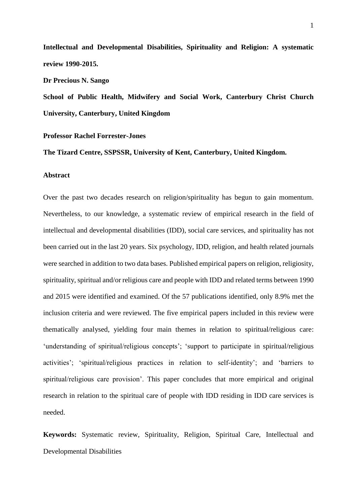**Intellectual and Developmental Disabilities, Spirituality and Religion: A systematic review 1990-2015.** 

**Dr Precious N. Sango** 

**School of Public Health, Midwifery and Social Work, Canterbury Christ Church University, Canterbury, United Kingdom** 

#### **Professor Rachel Forrester-Jones**

**The Tizard Centre, SSPSSR, University of Kent, Canterbury, United Kingdom.** 

#### **Abstract**

Over the past two decades research on religion/spirituality has begun to gain momentum. Nevertheless, to our knowledge, a systematic review of empirical research in the field of intellectual and developmental disabilities (IDD), social care services, and spirituality has not been carried out in the last 20 years. Six psychology, IDD, religion, and health related journals were searched in addition to two data bases. Published empirical papers on religion, religiosity, spirituality, spiritual and/or religious care and people with IDD and related terms between 1990 and 2015 were identified and examined. Of the 57 publications identified, only 8.9% met the inclusion criteria and were reviewed. The five empirical papers included in this review were thematically analysed, yielding four main themes in relation to spiritual/religious care: 'understanding of spiritual/religious concepts'; 'support to participate in spiritual/religious activities'; 'spiritual/religious practices in relation to self-identity'; and 'barriers to spiritual/religious care provision'. This paper concludes that more empirical and original research in relation to the spiritual care of people with IDD residing in IDD care services is needed.

**Keywords:** Systematic review, Spirituality, Religion, Spiritual Care, Intellectual and Developmental Disabilities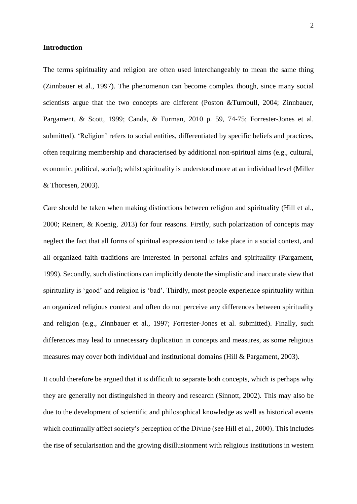#### **Introduction**

The terms spirituality and religion are often used interchangeably to mean the same thing (Zinnbauer et al., 1997). The phenomenon can become complex though, since many social scientists argue that the two concepts are different (Poston &Turnbull, 2004; Zinnbauer, Pargament, & Scott, 1999; Canda, & Furman, 2010 p. 59, 74-75; Forrester-Jones et al. submitted). 'Religion' refers to social entities, differentiated by specific beliefs and practices, often requiring membership and characterised by additional non-spiritual aims (e.g., cultural, economic, political, social); whilst spirituality is understood more at an individual level (Miller & Thoresen, 2003).

Care should be taken when making distinctions between religion and spirituality (Hill et al., 2000; Reinert, & Koenig, 2013) for four reasons. Firstly, such polarization of concepts may neglect the fact that all forms of spiritual expression tend to take place in a social context, and all organized faith traditions are interested in personal affairs and spirituality (Pargament, 1999). Secondly, such distinctions can implicitly denote the simplistic and inaccurate view that spirituality is 'good' and religion is 'bad'. Thirdly, most people experience spirituality within an organized religious context and often do not perceive any differences between spirituality and religion (e.g., Zinnbauer et al., 1997; Forrester-Jones et al. submitted). Finally, such differences may lead to unnecessary duplication in concepts and measures, as some religious measures may cover both individual and institutional domains (Hill & Pargament, 2003).

It could therefore be argued that it is difficult to separate both concepts, which is perhaps why they are generally not distinguished in theory and research (Sinnott, 2002). This may also be due to the development of scientific and philosophical knowledge as well as historical events which continually affect society's perception of the Divine (see Hill et al., 2000). This includes the rise of secularisation and the growing disillusionment with religious institutions in western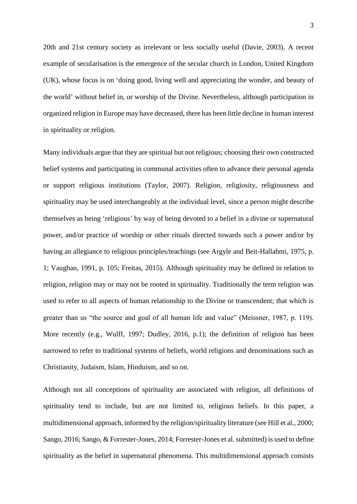20th and 21st century society as irrelevant or less socially useful (Davie, 2003). A recent example of secularisation is the emergence of the secular church in London, United Kingdom (UK), whose focus is on 'doing good, living well and appreciating the wonder, and beauty of the world' without belief in, or worship of the Divine. Nevertheless, although participation in organized religion in Europe may have decreased, there has been little decline in human interest in spirituality or religion.

Many individuals argue that they are spiritual but not religious; choosing their own constructed belief systems and participating in communal activities often to advance their personal agenda or support religious institutions (Taylor, 2007). Religion, religiosity, religiousness and spirituality may be used interchangeably at the individual level, since a person might describe themselves as being 'religious' by way of being devoted to a belief in a divine or supernatural power, and/or practice of worship or other rituals directed towards such a power and/or by having an allegiance to religious principles/teachings (see Argyle and Beit-Hallahmi, 1975, p. 1; Vaughan, 1991, p. 105; Freitas, 2015). Although spirituality may be defined in relation to religion, religion may or may not be rooted in spirituality. Traditionally the term religion was used to refer to all aspects of human relationship to the Divine or transcendent; that which is greater than us "the source and goal of all human life and value" (Meissner, 1987, p. 119). More recently (e.g., Wulff, 1997; Dudley, 2016, p.1); the definition of religion has been narrowed to refer to traditional systems of beliefs, world religions and denominations such as Christianity, Judaism, Islam, Hinduism, and so on.

Although not all conceptions of spirituality are associated with religion, all definitions of spirituality tend to include, but are not limited to, religious beliefs. In this paper, a multidimensional approach, informed by the religion/spirituality literature (see Hill et al., 2000; Sango, 2016; Sango, & Forrester-Jones, 2014; Forrester-Jones et al. submitted) is used to define spirituality as the belief in supernatural phenomena. This multidimensional approach consists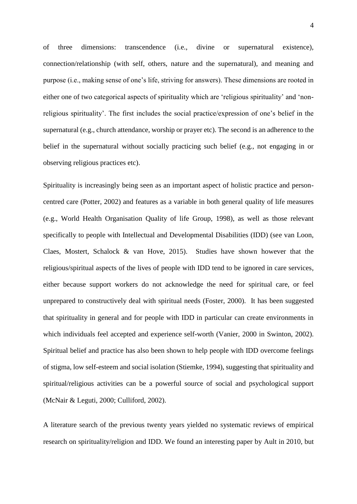of three dimensions: transcendence (i.e., divine or supernatural existence), connection/relationship (with self, others, nature and the supernatural), and meaning and purpose (i.e., making sense of one's life, striving for answers). These dimensions are rooted in either one of two categorical aspects of spirituality which are 'religious spirituality' and 'nonreligious spirituality'. The first includes the social practice/expression of one's belief in the supernatural (e.g., church attendance, worship or prayer etc). The second is an adherence to the belief in the supernatural without socially practicing such belief (e.g., not engaging in or observing religious practices etc).

Spirituality is increasingly being seen as an important aspect of holistic practice and personcentred care (Potter, 2002) and features as a variable in both general quality of life measures (e.g., World Health Organisation Quality of life Group, 1998), as well as those relevant specifically to people with Intellectual and Developmental Disabilities (IDD) (see van Loon, Claes, Mostert, Schalock & van Hove, 2015). Studies have shown however that the religious/spiritual aspects of the lives of people with IDD tend to be ignored in care services, either because support workers do not acknowledge the need for spiritual care, or feel unprepared to constructively deal with spiritual needs (Foster, 2000). It has been suggested that spirituality in general and for people with IDD in particular can create environments in which individuals feel accepted and experience self-worth (Vanier, 2000 in Swinton, 2002). Spiritual belief and practice has also been shown to help people with IDD overcome feelings of stigma, low self-esteem and social isolation (Stiemke, 1994), suggesting that spirituality and spiritual/religious activities can be a powerful source of social and psychological support (McNair & Leguti, 2000; Culliford, 2002).

A literature search of the previous twenty years yielded no systematic reviews of empirical research on spirituality/religion and IDD. We found an interesting paper by Ault in 2010, but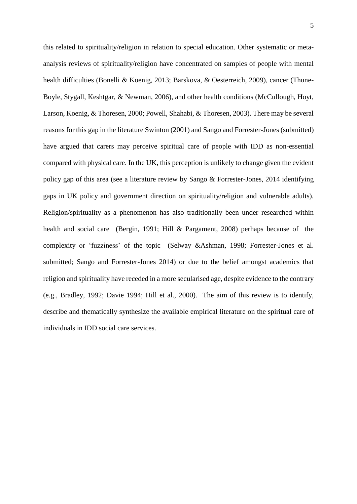this related to spirituality/religion in relation to special education. Other systematic or metaanalysis reviews of spirituality/religion have concentrated on samples of people with mental health difficulties (Bonelli & Koenig, 2013; Barskova, & Oesterreich, 2009), cancer (Thune-Boyle, Stygall, Keshtgar, & Newman, 2006), and other health conditions (McCullough, Hoyt, Larson, Koenig, & Thoresen, 2000; Powell, Shahabi, & Thoresen, 2003). There may be several reasons for this gap in the literature Swinton (2001) and Sango and Forrester-Jones (submitted) have argued that carers may perceive spiritual care of people with IDD as non-essential compared with physical care. In the UK, this perception is unlikely to change given the evident policy gap of this area (see a literature review by Sango & Forrester-Jones, 2014 identifying gaps in UK policy and government direction on spirituality/religion and vulnerable adults). Religion/spirituality as a phenomenon has also traditionally been under researched within health and social care (Bergin, 1991; Hill & Pargament, 2008) perhaps because of the complexity or 'fuzziness' of the topic (Selway &Ashman, 1998; Forrester-Jones et al. submitted; Sango and Forrester-Jones 2014) or due to the belief amongst academics that religion and spirituality have receded in a more secularised age, despite evidence to the contrary (e.g., Bradley, 1992; Davie 1994; Hill et al., 2000). The aim of this review is to identify, describe and thematically synthesize the available empirical literature on the spiritual care of individuals in IDD social care services.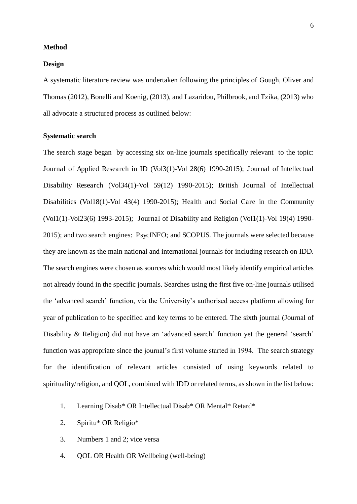#### **Method**

#### **Design**

A systematic literature review was undertaken following the principles of Gough, Oliver and Thomas (2012), Bonelli and Koenig, (2013), and Lazaridou, Philbrook, and Tzika, (2013) who all advocate a structured process as outlined below:

#### **Systematic search**

The search stage began by accessing six on-line journals specifically relevant to the topic: Journal of Applied Research in ID (Vol3(1)-Vol 28(6) 1990-2015); Journal of Intellectual Disability Research (Vol34(1)-Vol 59(12) 1990-2015); British Journal of Intellectual Disabilities (Vol18(1)-Vol 43(4) 1990-2015); Health and Social Care in the Community (Vol1(1)-Vol23(6) 1993-2015); Journal of Disability and Religion (Vol1(1)-Vol 19(4) 1990- 2015); and two search engines: PsycINFO; and SCOPUS. The journals were selected because they are known as the main national and international journals for including research on IDD. The search engines were chosen as sources which would most likely identify empirical articles not already found in the specific journals. Searches using the first five on-line journals utilised the 'advanced search' function, via the University's authorised access platform allowing for year of publication to be specified and key terms to be entered. The sixth journal (Journal of Disability & Religion) did not have an 'advanced search' function yet the general 'search' function was appropriate since the journal's first volume started in 1994. The search strategy for the identification of relevant articles consisted of using keywords related to spirituality/religion, and QOL, combined with IDD or related terms, as shown in the list below:

- 1. Learning Disab\* OR Intellectual Disab\* OR Mental\* Retard\*
- 2. Spiritu\* OR Religio\*
- 3. Numbers 1 and 2; vice versa
- 4. QOL OR Health OR Wellbeing (well-being)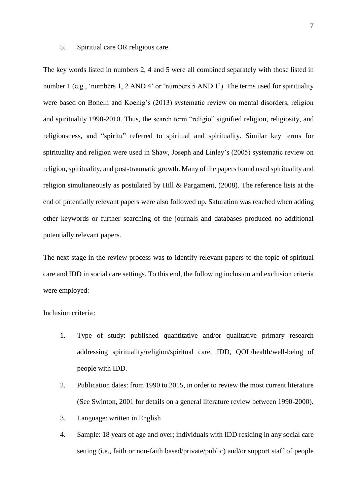#### 5. Spiritual care OR religious care

The key words listed in numbers 2, 4 and 5 were all combined separately with those listed in number 1 (e.g., 'numbers 1, 2 AND 4' or 'numbers 5 AND 1'). The terms used for spirituality were based on Bonelli and Koenig's (2013) systematic review on mental disorders, religion and spirituality 1990-2010. Thus, the search term "religio" signified religion, religiosity, and religiousness, and "spiritu" referred to spiritual and spirituality. Similar key terms for spirituality and religion were used in Shaw, Joseph and Linley's (2005) systematic review on religion, spirituality, and post-traumatic growth. Many of the papers found used spirituality and religion simultaneously as postulated by Hill & Pargament, (2008). The reference lists at the end of potentially relevant papers were also followed up. Saturation was reached when adding other keywords or further searching of the journals and databases produced no additional potentially relevant papers.

The next stage in the review process was to identify relevant papers to the topic of spiritual care and IDD in social care settings. To this end, the following inclusion and exclusion criteria were employed:

Inclusion criteria:

- 1. Type of study: published quantitative and/or qualitative primary research addressing spirituality/religion/spiritual care, IDD, QOL/health/well-being of people with IDD.
- 2. Publication dates: from 1990 to 2015, in order to review the most current literature (See Swinton, 2001 for details on a general literature review between 1990-2000).
- 3. Language: written in English
- 4. Sample: 18 years of age and over; individuals with IDD residing in any social care setting (i.e., faith or non-faith based/private/public) and/or support staff of people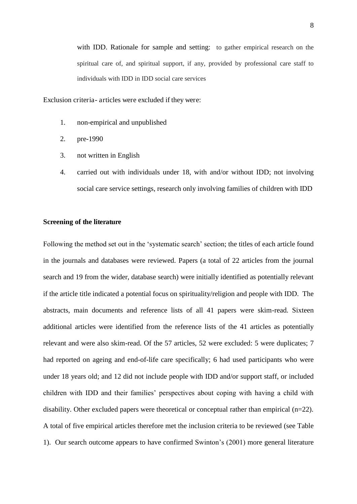with IDD. Rationale for sample and setting: to gather empirical research on the spiritual care of, and spiritual support, if any, provided by professional care staff to individuals with IDD in IDD social care services

Exclusion criteria- articles were excluded if they were:

- 1. non-empirical and unpublished
- 2. pre-1990
- 3. not written in English
- 4. carried out with individuals under 18, with and/or without IDD; not involving social care service settings, research only involving families of children with IDD

#### **Screening of the literature**

Following the method set out in the 'systematic search' section; the titles of each article found in the journals and databases were reviewed. Papers (a total of 22 articles from the journal search and 19 from the wider, database search) were initially identified as potentially relevant if the article title indicated a potential focus on spirituality/religion and people with IDD. The abstracts, main documents and reference lists of all 41 papers were skim-read. Sixteen additional articles were identified from the reference lists of the 41 articles as potentially relevant and were also skim-read. Of the 57 articles, 52 were excluded: 5 were duplicates; 7 had reported on ageing and end-of-life care specifically; 6 had used participants who were under 18 years old; and 12 did not include people with IDD and/or support staff, or included children with IDD and their families' perspectives about coping with having a child with disability. Other excluded papers were theoretical or conceptual rather than empirical (n=22). A total of five empirical articles therefore met the inclusion criteria to be reviewed (see Table 1). Our search outcome appears to have confirmed Swinton's (2001) more general literature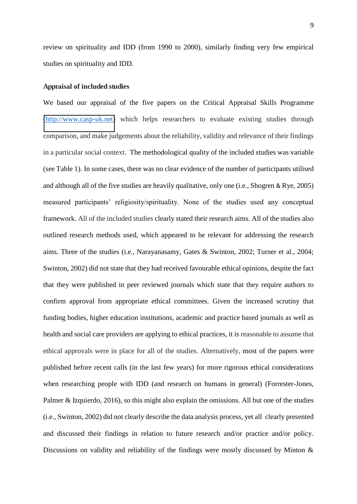review on spirituality and IDD (from 1990 to 2000), similarly finding very few empirical studies on spirituality and IDD.

#### **Appraisal of included studies**

We based our appraisal of the five papers on the Critical Appraisal Skills Programme [\(http://www.casp-uk.net\)](http://www.casp-uk.net/) which helps researchers to evaluate existing studies through comparison, and make judgements about the reliability, validity and relevance of their findings in a particular social context. The methodological quality of the included studies was variable (see Table 1). In some cases, there was no clear evidence of the number of participants utilised and although all of the five studies are heavily qualitative, only one (i.e., Shogren & Rye, 2005) measured participants' religiosity/spirituality. None of the studies used any conceptual framework. All of the included studies clearly stated their research aims. All of the studies also outlined research methods used, which appeared to be relevant for addressing the research aims. Three of the studies (i.e., Narayanasamy, Gates & Swinton, 2002; Turner et al., 2004; Swinton, 2002) did not state that they had received favourable ethical opinions, despite the fact that they were published in peer reviewed journals which state that they require authors to confirm approval from appropriate ethical committees. Given the increased scrutiny that funding bodies, higher education institutions, academic and practice based journals as well as health and social care providers are applying to ethical practices, it is reasonable to assume that ethical approvals were in place for all of the studies. Alternatively, most of the papers were published before recent calls (in the last few years) for more rigorous ethical considerations when researching people with IDD (and research on humans in general) (Forrester-Jones, Palmer & Izquierdo, 2016), so this might also explain the omissions. All but one of the studies (i.e., Swinton, 2002) did not clearly describe the data analysis process, yet all clearly presented and discussed their findings in relation to future research and/or practice and/or policy. Discussions on validity and reliability of the findings were mostly discussed by Minton &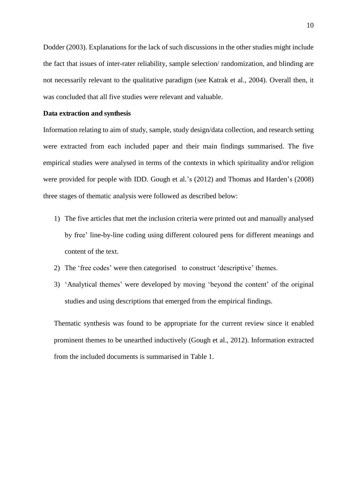Dodder (2003). Explanations for the lack of such discussions in the other studies might include the fact that issues of inter-rater reliability, sample selection/ randomization, and blinding are not necessarily relevant to the qualitative paradigm (see Katrak et al., 2004). Overall then, it was concluded that all five studies were relevant and valuable.

#### **Data extraction and synthesis**

Information relating to aim of study, sample, study design/data collection, and research setting were extracted from each included paper and their main findings summarised. The five empirical studies were analysed in terms of the contexts in which spirituality and/or religion were provided for people with IDD. Gough et al.'s (2012) and Thomas and Harden's (2008) three stages of thematic analysis were followed as described below:

- 1) The five articles that met the inclusion criteria were printed out and manually analysed by free' line-by-line coding using different coloured pens for different meanings and content of the text.
- 2) The 'free codes' were then categorised to construct 'descriptive' themes.
- 3) 'Analytical themes' were developed by moving 'beyond the content' of the original studies and using descriptions that emerged from the empirical findings.

Thematic synthesis was found to be appropriate for the current review since it enabled prominent themes to be unearthed inductively (Gough et al., 2012). Information extracted from the included documents is summarised in Table 1.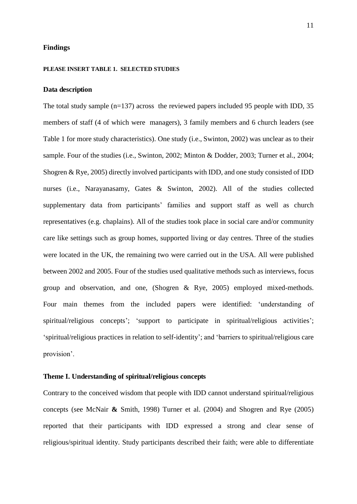#### **Findings**

#### **PLEASE INSERT TABLE 1. SELECTED STUDIES**

#### **Data description**

The total study sample (n=137) across the reviewed papers included 95 people with IDD, 35 members of staff (4 of which were managers), 3 family members and 6 church leaders (see Table 1 for more study characteristics). One study (i.e., Swinton, 2002) was unclear as to their sample. Four of the studies (i.e., Swinton, 2002; Minton & Dodder, 2003; Turner et al., 2004; Shogren & Rye, 2005) directly involved participants with IDD, and one study consisted of IDD nurses (i.e., Narayanasamy, Gates & Swinton, 2002). All of the studies collected supplementary data from participants' families and support staff as well as church representatives (e.g. chaplains). All of the studies took place in social care and/or community care like settings such as group homes, supported living or day centres. Three of the studies were located in the UK, the remaining two were carried out in the USA. All were published between 2002 and 2005. Four of the studies used qualitative methods such as interviews, focus group and observation, and one, (Shogren & Rye, 2005) employed mixed-methods. Four main themes from the included papers were identified: 'understanding of spiritual/religious concepts'; 'support to participate in spiritual/religious activities'; 'spiritual/religious practices in relation to self-identity'; and 'barriers to spiritual/religious care provision'.

### **Theme I. Understanding of spiritual/religious concepts**

Contrary to the conceived wisdom that people with IDD cannot understand spiritual/religious concepts (see McNair **&** Smith, 1998) Turner et al. (2004) and Shogren and Rye (2005) reported that their participants with IDD expressed a strong and clear sense of religious/spiritual identity. Study participants described their faith; were able to differentiate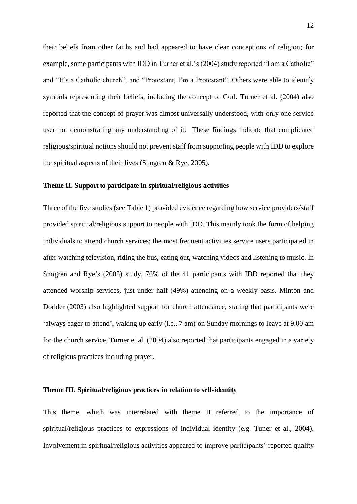their beliefs from other faiths and had appeared to have clear conceptions of religion; for example, some participants with IDD in Turner et al.'s (2004) study reported "I am a Catholic" and "It's a Catholic church", and "Protestant, I'm a Protestant". Others were able to identify symbols representing their beliefs, including the concept of God. Turner et al. (2004) also reported that the concept of prayer was almost universally understood, with only one service user not demonstrating any understanding of it. These findings indicate that complicated religious/spiritual notions should not prevent staff from supporting people with IDD to explore the spiritual aspects of their lives (Shogren **&** Rye, 2005).

#### **Theme II. Support to participate in spiritual/religious activities**

Three of the five studies (see Table 1) provided evidence regarding how service providers/staff provided spiritual/religious support to people with IDD. This mainly took the form of helping individuals to attend church services; the most frequent activities service users participated in after watching television, riding the bus, eating out, watching videos and listening to music. In Shogren and Rye's (2005) study, 76% of the 41 participants with IDD reported that they attended worship services, just under half (49%) attending on a weekly basis. Minton and Dodder (2003) also highlighted support for church attendance, stating that participants were 'always eager to attend', waking up early (i.e., 7 am) on Sunday mornings to leave at 9.00 am for the church service. Turner et al. (2004) also reported that participants engaged in a variety of religious practices including prayer.

#### **Theme III. Spiritual/religious practices in relation to self-identity**

This theme, which was interrelated with theme II referred to the importance of spiritual/religious practices to expressions of individual identity (e.g. Tuner et al., 2004). Involvement in spiritual/religious activities appeared to improve participants' reported quality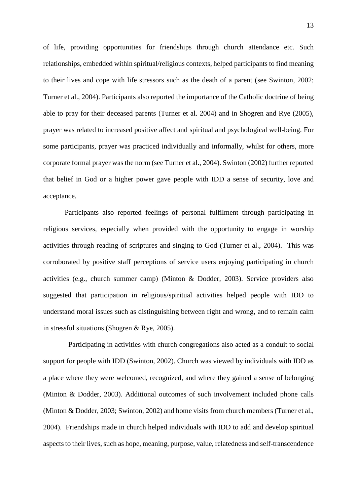of life, providing opportunities for friendships through church attendance etc. Such relationships, embedded within spiritual/religious contexts, helped participants to find meaning to their lives and cope with life stressors such as the death of a parent (see Swinton, 2002; Turner et al., 2004). Participants also reported the importance of the Catholic doctrine of being able to pray for their deceased parents (Turner et al. 2004) and in Shogren and Rye (2005), prayer was related to increased positive affect and spiritual and psychological well-being. For some participants, prayer was practiced individually and informally, whilst for others, more corporate formal prayer was the norm (see Turner et al., 2004). Swinton (2002) further reported that belief in God or a higher power gave people with IDD a sense of security, love and acceptance.

Participants also reported feelings of personal fulfilment through participating in religious services, especially when provided with the opportunity to engage in worship activities through reading of scriptures and singing to God (Turner et al., 2004). This was corroborated by positive staff perceptions of service users enjoying participating in church activities (e.g., church summer camp) (Minton & Dodder, 2003). Service providers also suggested that participation in religious/spiritual activities helped people with IDD to understand moral issues such as distinguishing between right and wrong, and to remain calm in stressful situations (Shogren & Rye, 2005).

 Participating in activities with church congregations also acted as a conduit to social support for people with IDD (Swinton, 2002). Church was viewed by individuals with IDD as a place where they were welcomed, recognized, and where they gained a sense of belonging (Minton & Dodder, 2003). Additional outcomes of such involvement included phone calls (Minton & Dodder, 2003; Swinton, 2002) and home visits from church members (Turner et al., 2004). Friendships made in church helped individuals with IDD to add and develop spiritual aspects to their lives, such as hope, meaning, purpose, value, relatedness and self-transcendence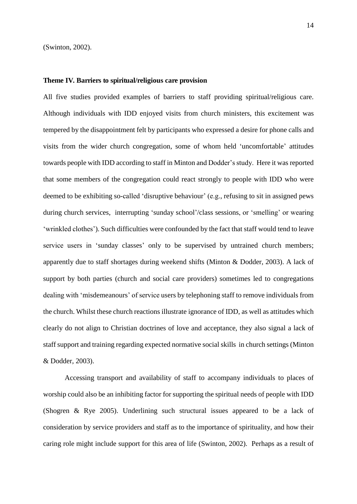(Swinton, 2002).

#### **Theme IV. Barriers to spiritual/religious care provision**

All five studies provided examples of barriers to staff providing spiritual/religious care. Although individuals with IDD enjoyed visits from church ministers, this excitement was tempered by the disappointment felt by participants who expressed a desire for phone calls and visits from the wider church congregation, some of whom held 'uncomfortable' attitudes towards people with IDD according to staff in Minton and Dodder's study. Here it was reported that some members of the congregation could react strongly to people with IDD who were deemed to be exhibiting so-called 'disruptive behaviour' (e.g., refusing to sit in assigned pews during church services, interrupting 'sunday school'/class sessions, or 'smelling' or wearing 'wrinkled clothes'). Such difficulties were confounded by the fact that staff would tend to leave service users in 'sunday classes' only to be supervised by untrained church members; apparently due to staff shortages during weekend shifts (Minton & Dodder, 2003). A lack of support by both parties (church and social care providers) sometimes led to congregations dealing with 'misdemeanours' of service users by telephoning staff to remove individuals from the church. Whilst these church reactions illustrate ignorance of IDD, as well as attitudes which clearly do not align to Christian doctrines of love and acceptance, they also signal a lack of staff support and training regarding expected normative social skills in church settings (Minton & Dodder, 2003).

Accessing transport and availability of staff to accompany individuals to places of worship could also be an inhibiting factor for supporting the spiritual needs of people with IDD (Shogren & Rye 2005). Underlining such structural issues appeared to be a lack of consideration by service providers and staff as to the importance of spirituality, and how their caring role might include support for this area of life (Swinton, 2002). Perhaps as a result of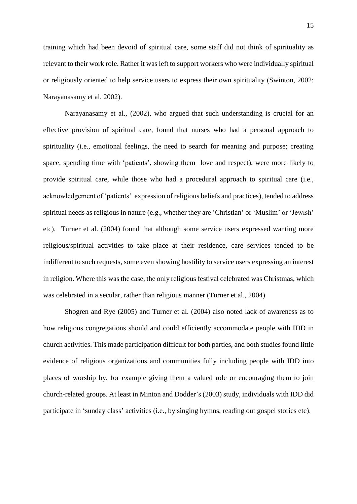training which had been devoid of spiritual care, some staff did not think of spirituality as relevant to their work role. Rather it was left to support workers who were individually spiritual or religiously oriented to help service users to express their own spirituality (Swinton, 2002; Narayanasamy et al. 2002).

Narayanasamy et al., (2002), who argued that such understanding is crucial for an effective provision of spiritual care, found that nurses who had a personal approach to spirituality (i.e., emotional feelings, the need to search for meaning and purpose; creating space, spending time with 'patients', showing them love and respect), were more likely to provide spiritual care, while those who had a procedural approach to spiritual care (i.e., acknowledgement of 'patients' expression of religious beliefs and practices), tended to address spiritual needs as religious in nature (e.g., whether they are 'Christian' or 'Muslim' or 'Jewish' etc). Turner et al. (2004) found that although some service users expressed wanting more religious/spiritual activities to take place at their residence, care services tended to be indifferent to such requests, some even showing hostility to service users expressing an interest in religion. Where this was the case, the only religious festival celebrated was Christmas, which was celebrated in a secular, rather than religious manner (Turner et al., 2004).

Shogren and Rye (2005) and Turner et al. (2004) also noted lack of awareness as to how religious congregations should and could efficiently accommodate people with IDD in church activities. This made participation difficult for both parties, and both studies found little evidence of religious organizations and communities fully including people with IDD into places of worship by, for example giving them a valued role or encouraging them to join church-related groups. At least in Minton and Dodder's (2003) study, individuals with IDD did participate in 'sunday class' activities (i.e., by singing hymns, reading out gospel stories etc).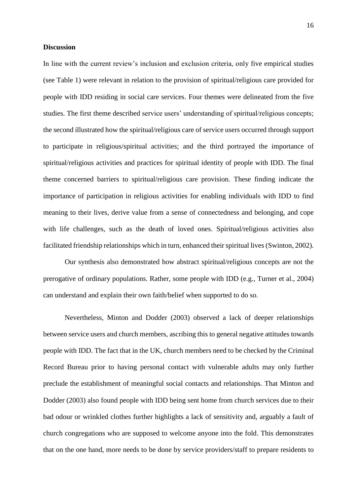#### **Discussion**

In line with the current review's inclusion and exclusion criteria, only five empirical studies (see Table 1) were relevant in relation to the provision of spiritual/religious care provided for people with IDD residing in social care services. Four themes were delineated from the five studies. The first theme described service users' understanding of spiritual/religious concepts; the second illustrated how the spiritual/religious care of service users occurred through support to participate in religious/spiritual activities; and the third portrayed the importance of spiritual/religious activities and practices for spiritual identity of people with IDD. The final theme concerned barriers to spiritual/religious care provision. These finding indicate the importance of participation in religious activities for enabling individuals with IDD to find meaning to their lives, derive value from a sense of connectedness and belonging, and cope with life challenges, such as the death of loved ones. Spiritual/religious activities also facilitated friendship relationships which in turn, enhanced their spiritual lives (Swinton, 2002).

Our synthesis also demonstrated how abstract spiritual/religious concepts are not the prerogative of ordinary populations. Rather, some people with IDD (e.g., Turner et al., 2004) can understand and explain their own faith/belief when supported to do so.

Nevertheless, Minton and Dodder (2003) observed a lack of deeper relationships between service users and church members, ascribing this to general negative attitudes towards people with IDD. The fact that in the UK, church members need to be checked by the Criminal Record Bureau prior to having personal contact with vulnerable adults may only further preclude the establishment of meaningful social contacts and relationships. That Minton and Dodder (2003) also found people with IDD being sent home from church services due to their bad odour or wrinkled clothes further highlights a lack of sensitivity and, arguably a fault of church congregations who are supposed to welcome anyone into the fold. This demonstrates that on the one hand, more needs to be done by service providers/staff to prepare residents to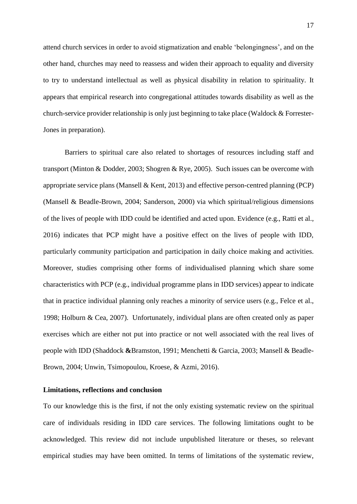attend church services in order to avoid stigmatization and enable 'belongingness', and on the other hand, churches may need to reassess and widen their approach to equality and diversity to try to understand intellectual as well as physical disability in relation to spirituality. It appears that empirical research into congregational attitudes towards disability as well as the church-service provider relationship is only just beginning to take place (Waldock & Forrester-Jones in preparation).

Barriers to spiritual care also related to shortages of resources including staff and transport (Minton & Dodder, 2003; Shogren & Rye, 2005). Such issues can be overcome with appropriate service plans (Mansell & Kent, 2013) and effective person-centred planning (PCP) (Mansell & Beadle-Brown, 2004; Sanderson, 2000) via which spiritual/religious dimensions of the lives of people with IDD could be identified and acted upon. Evidence (e.g., Ratti et al., 2016) indicates that PCP might have a positive effect on the lives of people with IDD, particularly community participation and participation in daily choice making and activities. Moreover, studies comprising other forms of individualised planning which share some characteristics with PCP (e.g., individual programme plans in IDD services) appear to indicate that in practice individual planning only reaches a minority of service users (e.g., Felce et al., 1998; Holburn & Cea, 2007). Unfortunately, individual plans are often created only as paper exercises which are either not put into practice or not well associated with the real lives of people with IDD (Shaddock **&**Bramston, 1991; Menchetti & Garcia, 2003; Mansell & Beadle-Brown, 2004; Unwin, Tsimopoulou, Kroese, & Azmi, 2016).

#### **Limitations, reflections and conclusion**

To our knowledge this is the first, if not the only existing systematic review on the spiritual care of individuals residing in IDD care services. The following limitations ought to be acknowledged. This review did not include unpublished literature or theses, so relevant empirical studies may have been omitted. In terms of limitations of the systematic review,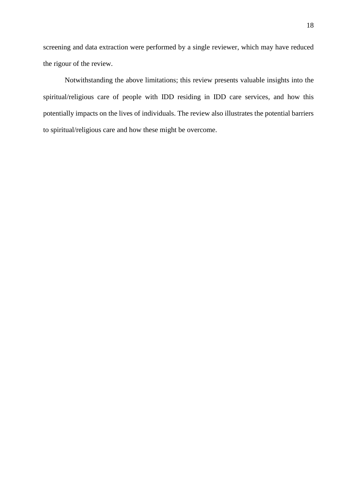screening and data extraction were performed by a single reviewer, which may have reduced the rigour of the review.

Notwithstanding the above limitations; this review presents valuable insights into the spiritual/religious care of people with IDD residing in IDD care services, and how this potentially impacts on the lives of individuals. The review also illustrates the potential barriers to spiritual/religious care and how these might be overcome.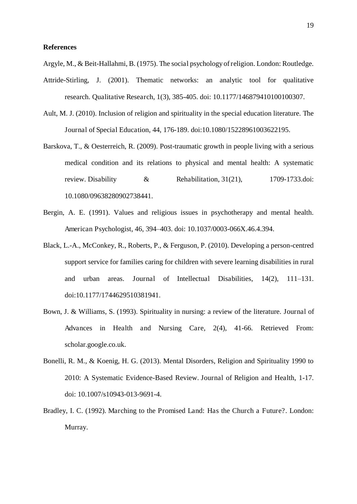#### **References**

Argyle, M., & Beit-Hallahmi, B. (1975). The social psychology of religion. London: Routledge.

- Attride-Stirling, J. (2001). Thematic networks: an analytic tool for qualitative research. Qualitative Research, 1(3), 385-405. doi: 10.1177/146879410100100307.
- Ault, M. J. (2010). Inclusion of religion and spirituality in the special education literature. The Journal of Special Education, 44, 176-189. doi:10.1080/15228961003622195.
- Barskova, T., & Oesterreich, R. (2009). Post-traumatic growth in people living with a serious medical condition and its relations to physical and mental health: A systematic review. Disability & Rehabilitation, 31(21), 1709-1733.doi: 10.1080/09638280902738441.
- Bergin, A. E. (1991). Values and religious issues in psychotherapy and mental health. American Psychologist, 46, 394–403. doi: 10.1037/0003-066X.46.4.394.
- Black, L.-A., McConkey, R., Roberts, P., & Ferguson, P. (2010). Developing a person-centred support service for families caring for children with severe learning disabilities in rural and urban areas. Journal of Intellectual Disabilities, 14(2), 111–131. doi:10.1177/1744629510381941.
- Bown, J. & Williams, S. (1993). Spirituality in nursing: a review of the literature. Journal of Advances in Health and Nursing Care, 2(4), 41-66. Retrieved From: scholar.google.co.uk.
- Bonelli, R. M., & Koenig, H. G. (2013). Mental Disorders, Religion and Spirituality 1990 to 2010: A Systematic Evidence-Based Review. Journal of Religion and Health, 1-17. doi: 10.1007/s10943-013-9691-4.
- Bradley, I. C. (1992). Marching to the Promised Land: Has the Church a Future?. London: Murray.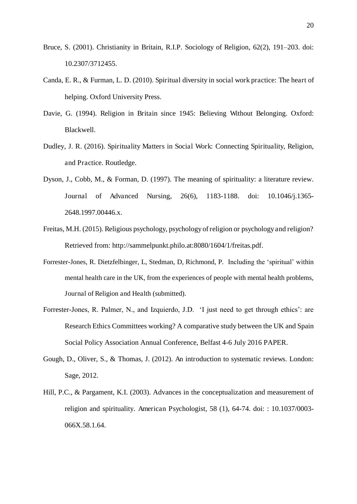- Bruce, S. (2001). Christianity in Britain, R.I.P. Sociology of Religion, 62(2), 191–203. doi: 10.2307/3712455.
- Canda, E. R., & Furman, L. D. (2010). Spiritual diversity in social work practice: The heart of helping. Oxford University Press.
- Davie, G. (1994). Religion in Britain since 1945: Believing Without Belonging. Oxford: Blackwell.
- Dudley, J. R. (2016). Spirituality Matters in Social Work: Connecting Spirituality, Religion, and Practice. Routledge.
- Dyson, J., Cobb, M., & Forman, D. (1997). The meaning of spirituality: a literature review. Journal of Advanced Nursing, 26(6), 1183-1188. doi: 10.1046/j.1365- 2648.1997.00446.x.
- Freitas, M.H. (2015). Religious psychology, psychology of religion or psychology and religion? Retrieved from: http://sammelpunkt.philo.at:8080/1604/1/freitas.pdf.
- Forrester-Jones, R. Dietzfelbinger, L, Stedman, D, Richmond, P. Including the 'spiritual' within mental health care in the UK, from the experiences of people with mental health problems, Journal of Religion and Health (submitted).
- Forrester-Jones, R. Palmer, N., and Izquierdo, J.D. 'I just need to get through ethics': are Research Ethics Committees working? A comparative study between the UK and Spain Social Policy Association Annual Conference, Belfast 4-6 July 2016 PAPER.
- Gough, D., Oliver, S., & Thomas, J. (2012). An introduction to systematic reviews. London: Sage, 2012.
- Hill, P.C., & Pargament, K.I. (2003). Advances in the conceptualization and measurement of religion and spirituality. American Psychologist, 58 (1), 64-74. doi: : 10.1037/0003- 066X.58.1.64.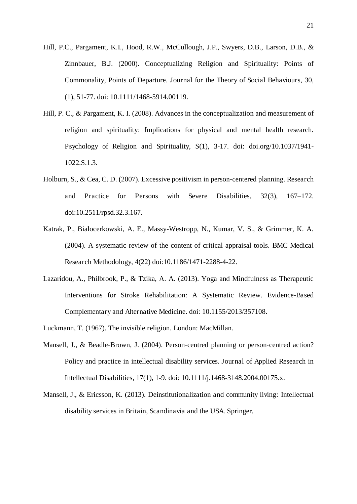- Hill, P.C., Pargament, K.I., Hood, R.W., McCullough, J.P., Swyers, D.B., Larson, D.B., & Zinnbauer, B.J. (2000). Conceptualizing Religion and Spirituality: Points of Commonality, Points of Departure. Journal for the Theory of Social Behaviours, 30, (1), 51-77. doi: 10.1111/1468-5914.00119.
- Hill, P. C., & Pargament, K. I. (2008). Advances in the conceptualization and measurement of religion and spirituality: Implications for physical and mental health research. Psychology of Religion and Spirituality, S(1), 3-17. doi: doi.org/10.1037/1941- 1022.S.1.3.
- Holburn, S., & Cea, C. D. (2007). Excessive positivism in person-centered planning. Research and Practice for Persons with Severe Disabilities, 32(3), 167–172. doi:10.2511/rpsd.32.3.167.
- Katrak, P., Bialocerkowski, A. E., Massy-Westropp, N., Kumar, V. S., & Grimmer, K. A. (2004). A systematic review of the content of critical appraisal tools. BMC Medical Research Methodology, 4(22) doi:10.1186/1471-2288-4-22.
- Lazaridou, A., Philbrook, P., & Tzika, A. A. (2013). Yoga and Mindfulness as Therapeutic Interventions for Stroke Rehabilitation: A Systematic Review. Evidence-Based Complementary and Alternative Medicine. doi: 10.1155/2013/357108.
- Luckmann, T. (1967). The invisible religion. London: MacMillan.
- Mansell, J., & Beadle-Brown, J. (2004). Person-centred planning or person-centred action? Policy and practice in intellectual disability services. Journal of Applied Research in Intellectual Disabilities, 17(1), 1-9. doi: 10.1111/j.1468-3148.2004.00175.x.
- Mansell, J., & Ericsson, K. (2013). Deinstitutionalization and community living: Intellectual disability services in Britain, Scandinavia and the USA. Springer.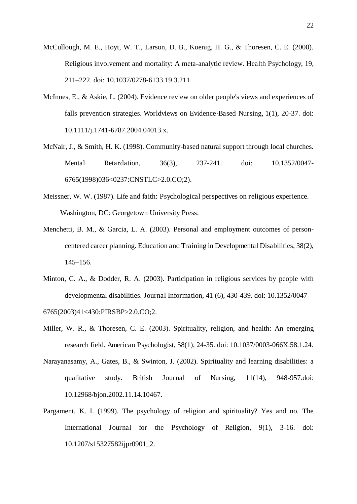- McCullough, M. E., Hoyt, W. T., Larson, D. B., Koenig, H. G., & Thoresen, C. E. (2000). Religious involvement and mortality: A meta-analytic review. Health Psychology, 19, 211–222. doi: 10.1037/0278-6133.19.3.211.
- McInnes, E., & Askie, L. (2004). Evidence review on older people's views and experiences of falls prevention strategies. Worldviews on Evidence-Based Nursing, 1(1), 20-37. doi: 10.1111/j.1741-6787.2004.04013.x.
- McNair, J., & Smith, H. K. (1998). Community-based natural support through local churches. Mental Retardation, 36(3), 237-241. doi: 10.1352/0047- 6765(1998)036<0237:CNSTLC>2.0.CO;2).
- Meissner, W. W. (1987). Life and faith: Psychological perspectives on religious experience. Washington, DC: Georgetown University Press.
- Menchetti, B. M., & Garcia, L. A. (2003). Personal and employment outcomes of personcentered career planning. Education and Training in Developmental Disabilities, 38(2), 145–156.
- Minton, C. A., & Dodder, R. A. (2003). Participation in religious services by people with developmental disabilities. Journal Information, 41 (6), 430-439. doi: 10.1352/0047-

6765(2003)41<430:PIRSBP>2.0.CO;2.

- Miller, W. R., & Thoresen, C. E. (2003). Spirituality, religion, and health: An emerging research field. American Psychologist, 58(1), 24-35. doi: 10.1037/0003-066X.58.1.24.
- Narayanasamy, A., Gates, B., & Swinton, J. (2002). Spirituality and learning disabilities: a qualitative study. British Journal of Nursing, 11(14), 948-957.doi: 10.12968/bjon.2002.11.14.10467.
- Pargament, K. I. (1999). The psychology of religion and spirituality? Yes and no. The International Journal for the Psychology of Religion, 9(1), 3-16. doi: 10.1207/s15327582ijpr0901\_2.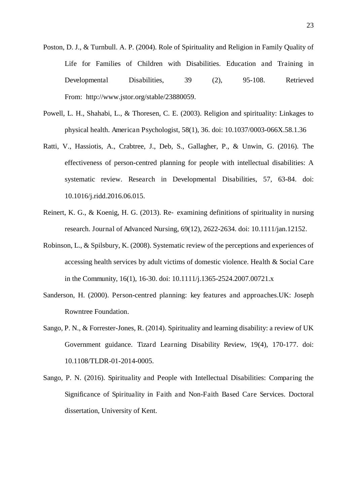- Poston, D. J., & Turnbull. A. P. (2004). Role of Spirituality and Religion in Family Quality of Life for Families of Children with Disabilities. Education and Training in Developmental Disabilities, 39 (2), 95-108. Retrieved From: http://www.jstor.org/stable/23880059.
- Powell, L. H., Shahabi, L., & Thoresen, C. E. (2003). Religion and spirituality: Linkages to physical health. American Psychologist, 58(1), 36. doi: 10.1037/0003-066X.58.1.36
- Ratti, V., Hassiotis, A., Crabtree, J., Deb, S., Gallagher, P., & Unwin, G. (2016). The effectiveness of person-centred planning for people with intellectual disabilities: A systematic review. Research in Developmental Disabilities, 57, 63-84. doi: 10.1016/j.ridd.2016.06.015.
- Reinert, K. G., & Koenig, H. G. (2013). Re-examining definitions of spirituality in nursing research. Journal of Advanced Nursing, 69(12), 2622-2634. doi: 10.1111/jan.12152.
- Robinson, L., & Spilsbury, K. (2008). Systematic review of the perceptions and experiences of accessing health services by adult victims of domestic violence. Health & Social Care in the Community, 16(1), 16-30. doi: 10.1111/j.1365-2524.2007.00721.x
- Sanderson, H. (2000). Person-centred planning: key features and approaches.UK: Joseph Rowntree Foundation.
- Sango, P. N., & Forrester-Jones, R. (2014). Spirituality and learning disability: a review of UK Government guidance. Tizard Learning Disability Review, 19(4), 170-177. doi: 10.1108/TLDR-01-2014-0005.
- Sango, P. N. (2016). Spirituality and People with Intellectual Disabilities: Comparing the Significance of Spirituality in Faith and Non-Faith Based Care Services. Doctoral dissertation, University of Kent.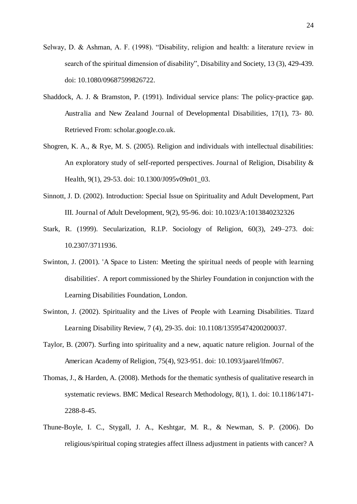- Selway, D. & Ashman, A. F. (1998). "Disability, religion and health: a literature review in search of the spiritual dimension of disability", Disability and Society, 13 (3), 429-439. doi: 10.1080/09687599826722.
- Shaddock, A. J. & Bramston, P. (1991). Individual service plans: The policy-practice gap. Australia and New Zealand Journal of Developmental Disabilities, 17(1), 73- 80. Retrieved From: scholar.google.co.uk.
- Shogren, K. A., & Rye, M. S. (2005). Religion and individuals with intellectual disabilities: An exploratory study of self-reported perspectives. Journal of Religion, Disability & Health, 9(1), 29-53. doi: 10.1300/J095v09n01\_03.
- Sinnott, J. D. (2002). Introduction: Special Issue on Spirituality and Adult Development, Part III. Journal of Adult Development, 9(2), 95-96. doi: 10.1023/A:1013840232326
- Stark, R. (1999). Secularization, R.I.P. Sociology of Religion, 60(3), 249–273. doi: 10.2307/3711936.
- Swinton, J. (2001). 'A Space to Listen: Meeting the spiritual needs of people with learning disabilities'. A report commissioned by the Shirley Foundation in conjunction with the Learning Disabilities Foundation, London.
- Swinton, J. (2002). Spirituality and the Lives of People with Learning Disabilities. Tizard Learning Disability Review, 7 (4), 29-35. doi: 10.1108/13595474200200037.
- Taylor, B. (2007). Surfing into spirituality and a new, aquatic nature religion. Journal of the American Academy of Religion, 75(4), 923-951. doi: 10.1093/jaarel/lfm067.
- Thomas, J., & Harden, A. (2008). Methods for the thematic synthesis of qualitative research in systematic reviews. BMC Medical Research Methodology, 8(1), 1. doi: 10.1186/1471- 2288-8-45.
- Thune-Boyle, I. C., Stygall, J. A., Keshtgar, M. R., & Newman, S. P. (2006). Do religious/spiritual coping strategies affect illness adjustment in patients with cancer? A